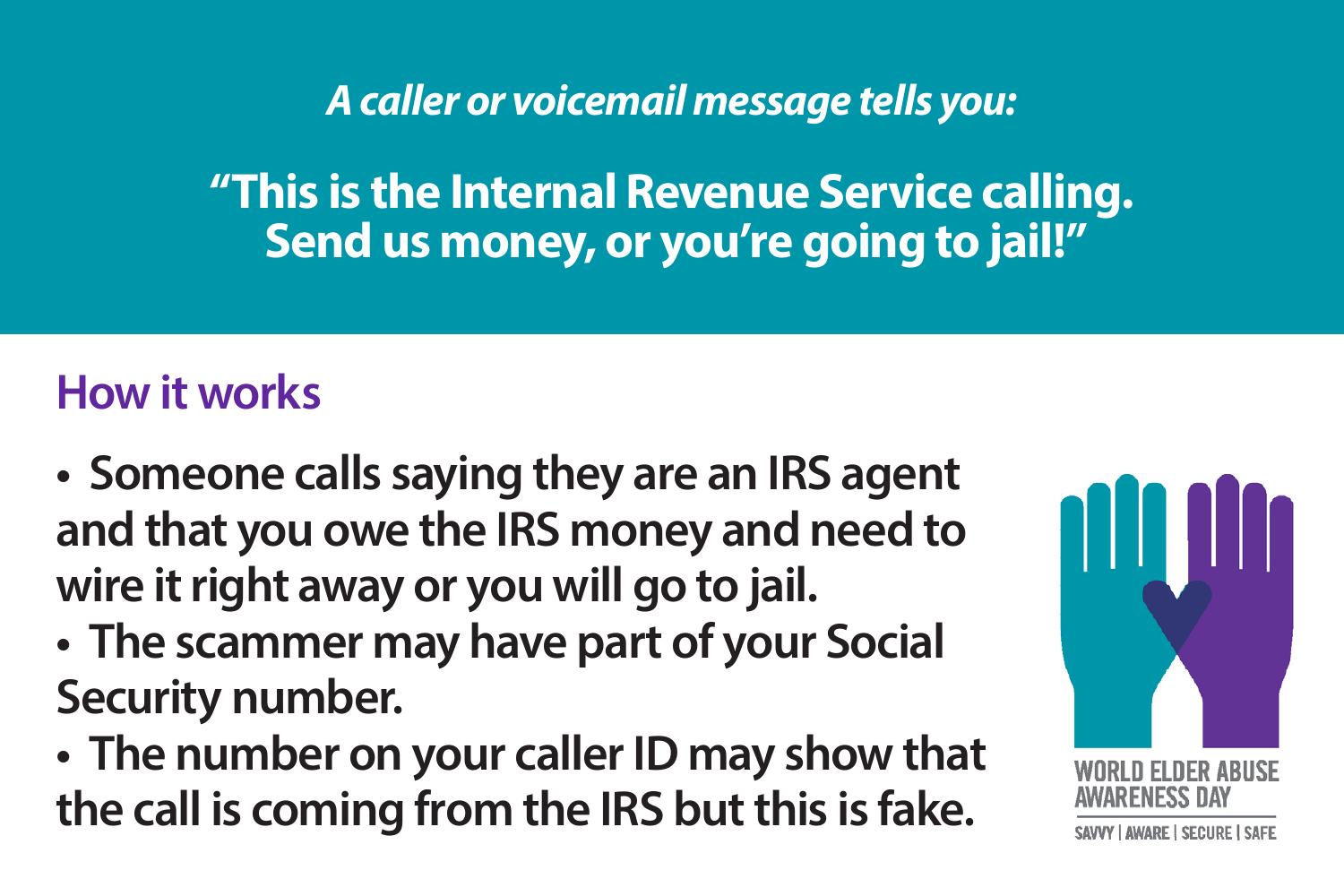*A caller or voicemail message tells you:*

**"This is the Internal Revenue Service calling. Send us money, or you're going to jail!"**

- **Someone calls saying they are an IRS agent and that you owe the IRS money and need to wire it right away or you will go to jail.**
- **The scammer may have part of your Social Security number.**
- **The number on your caller ID may show that the call is coming from the IRS but this is fake.**

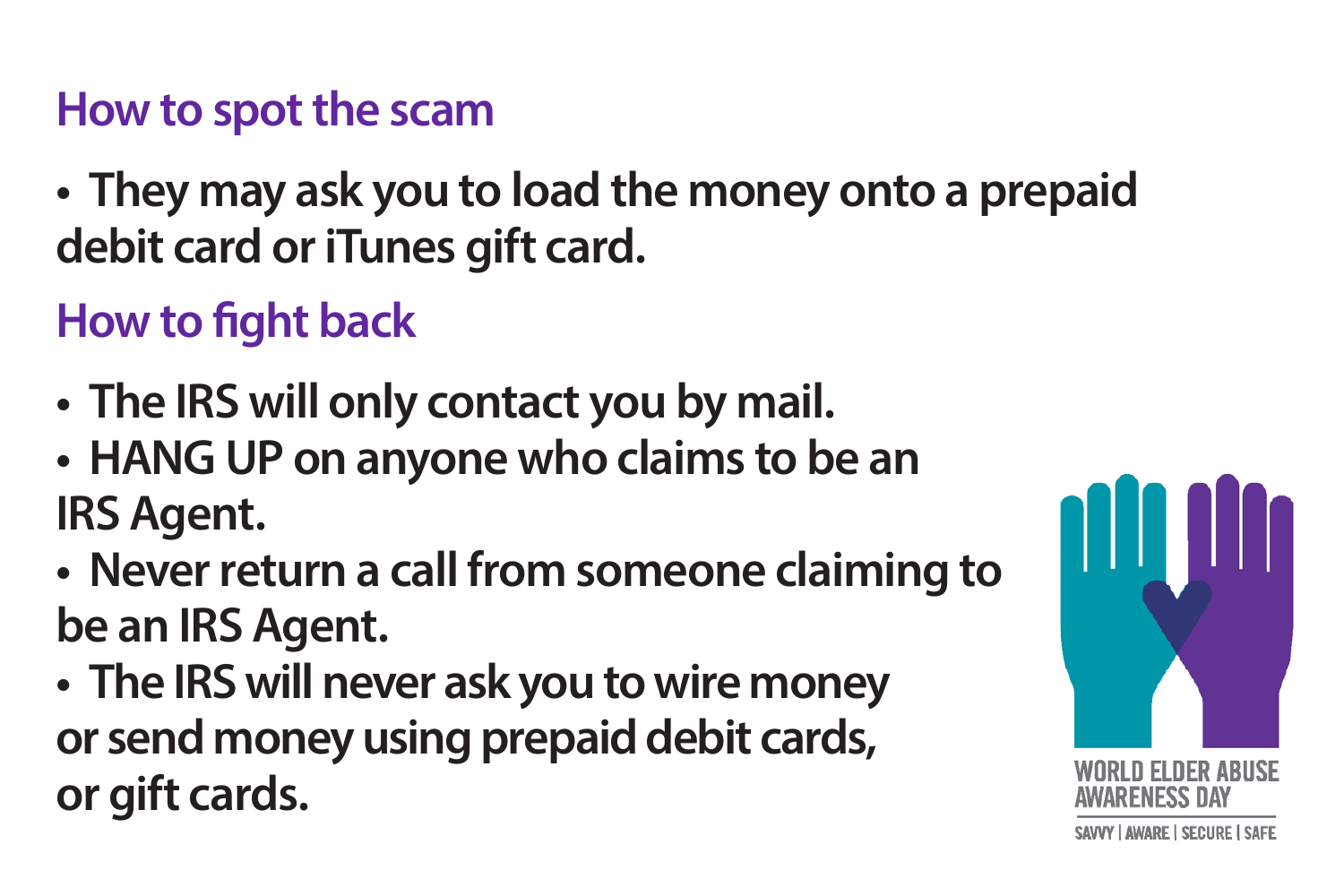**• They may ask you to load the money onto a prepaid debit card or iTunes gift card.**

## **How to fight back**

- **The IRS will only contact you by mail.**
- **HANG UP on anyone who claims to be an IRS Agent.**
- **Never return a call from someone claiming to be an IRS Agent.**
- **The IRS will never ask you to wire money or send money using prepaid debit cards, or gift cards.**

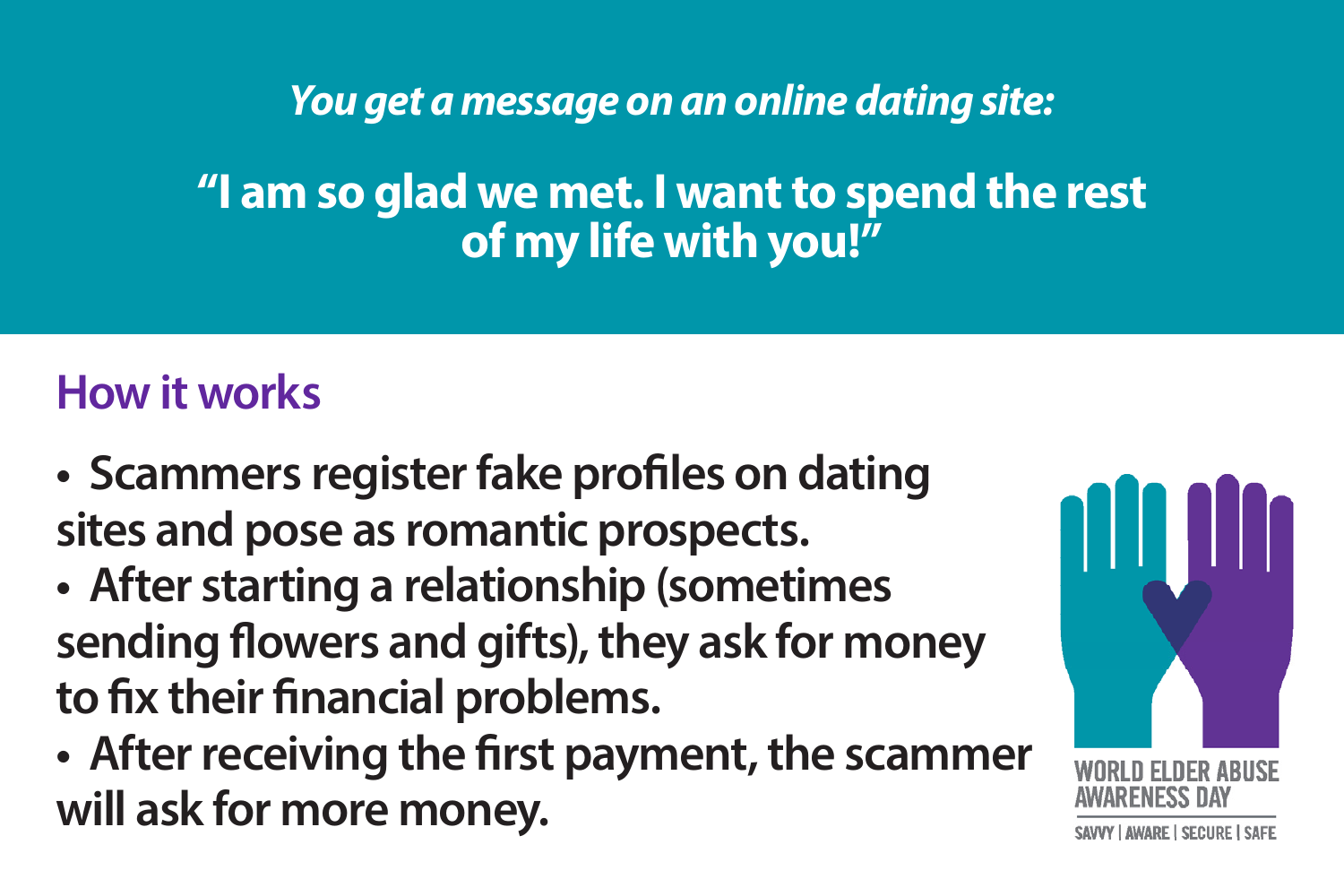*You get a message on an online dating site:* 

**"I am so glad we met. I want to spend the rest of my life with you!"**

- **Scammers register fake profiles on dating sites and pose as romantic prospects.**
- **After starting a relationship (sometimes sending flowers and gifts), they ask for money to fix their financial problems.**
- **After receiving the first payment, the scammer will ask for more money.**

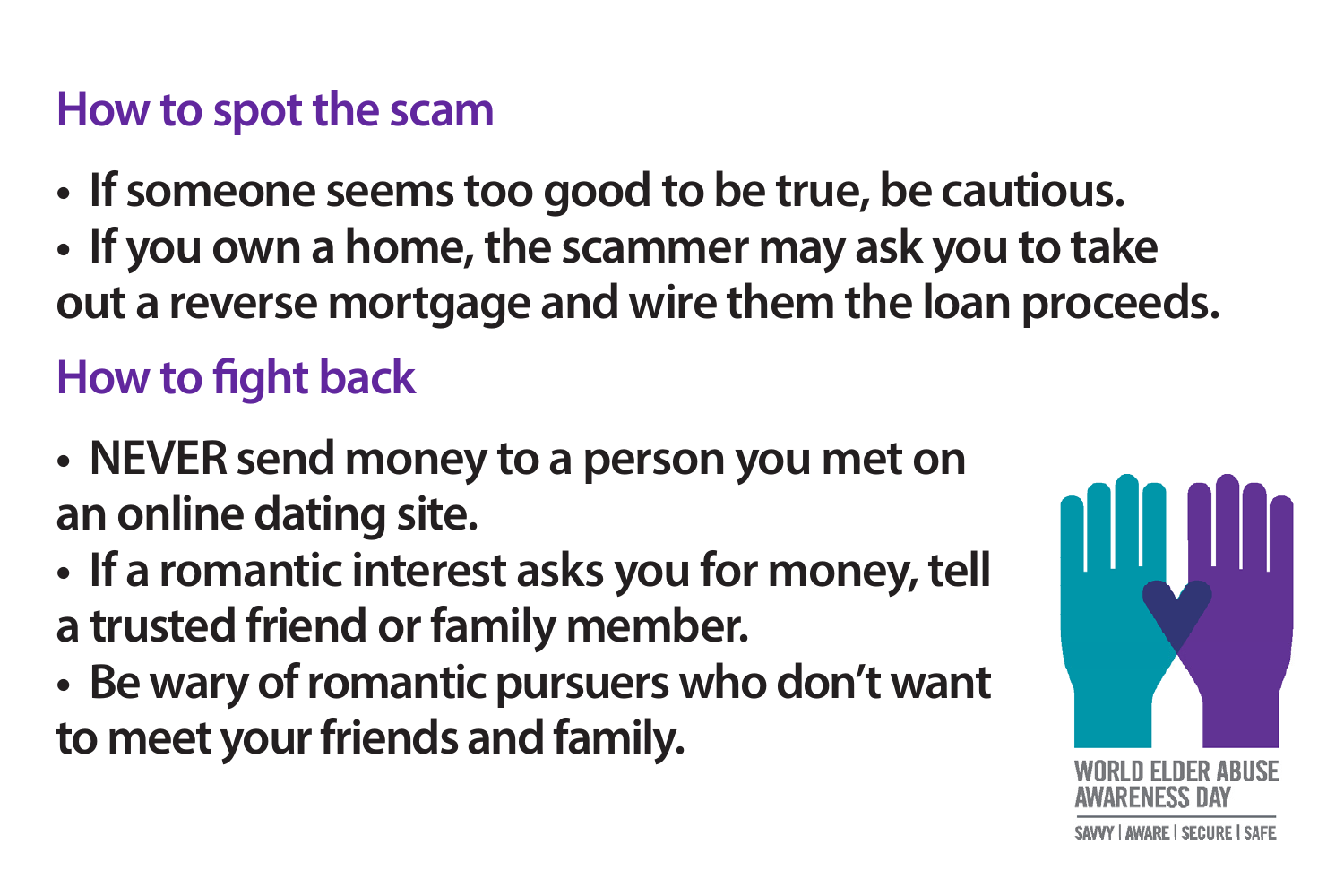- **If someone seems too good to be true, be cautious.**
- **If you own a home, the scammer may ask you to take out a reverse mortgage and wire them the loan proceeds.**

## **How to fight back**

- **NEVER send money to a person you met on an online dating site.**
- **If a romantic interest asks you for money, tell a trusted friend or family member.**
- **Be wary of romantic pursuers who don't want to meet your friends and family.**

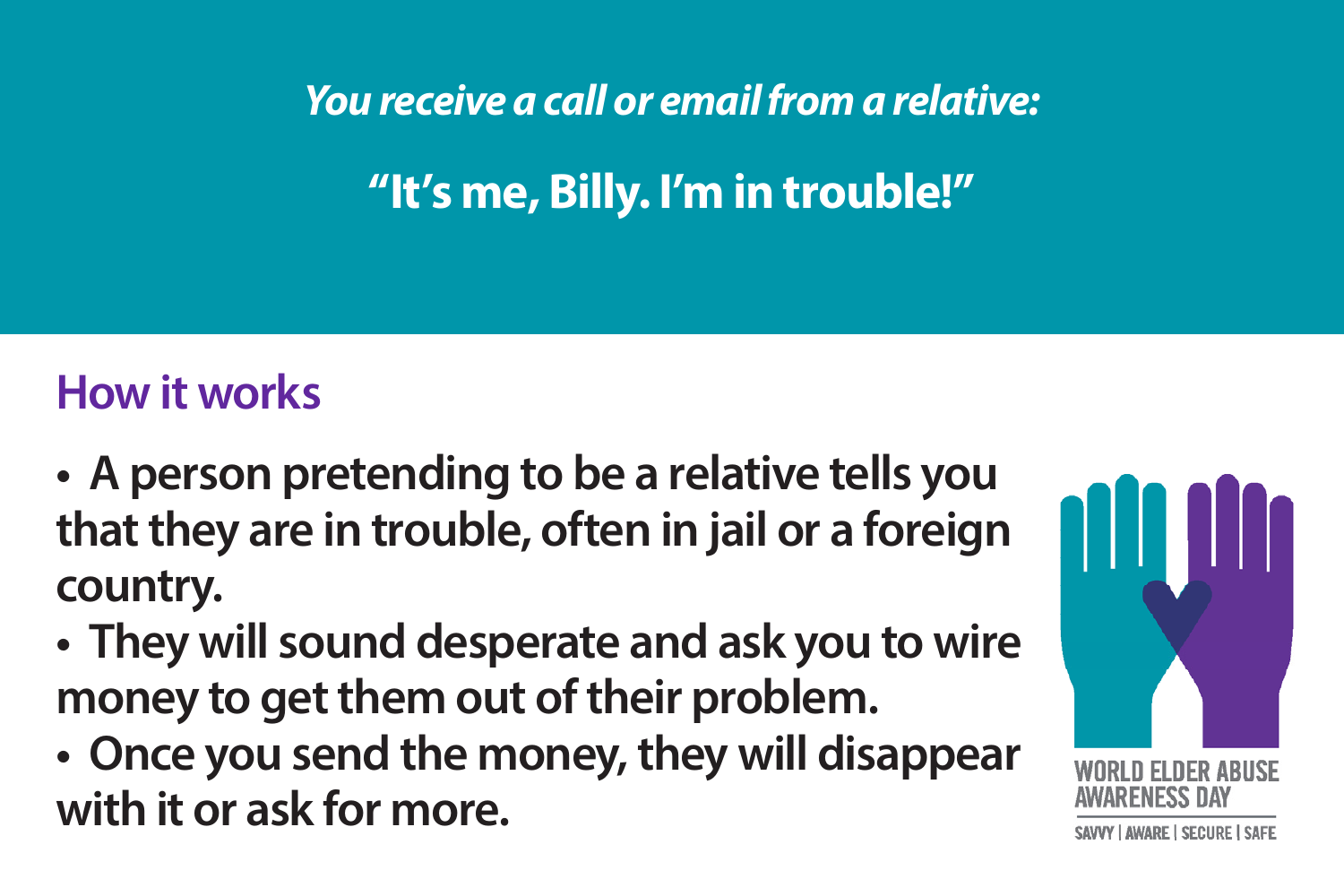*You receive a call or email from a relative:* 

**"It's me, Billy. I'm in trouble!"**

- **A person pretending to be a relative tells you that they are in trouble, often in jail or a foreign country.**
- **They will sound desperate and ask you to wire money to get them out of their problem.**
- **Once you send the money, they will disappear with it or ask for more.**

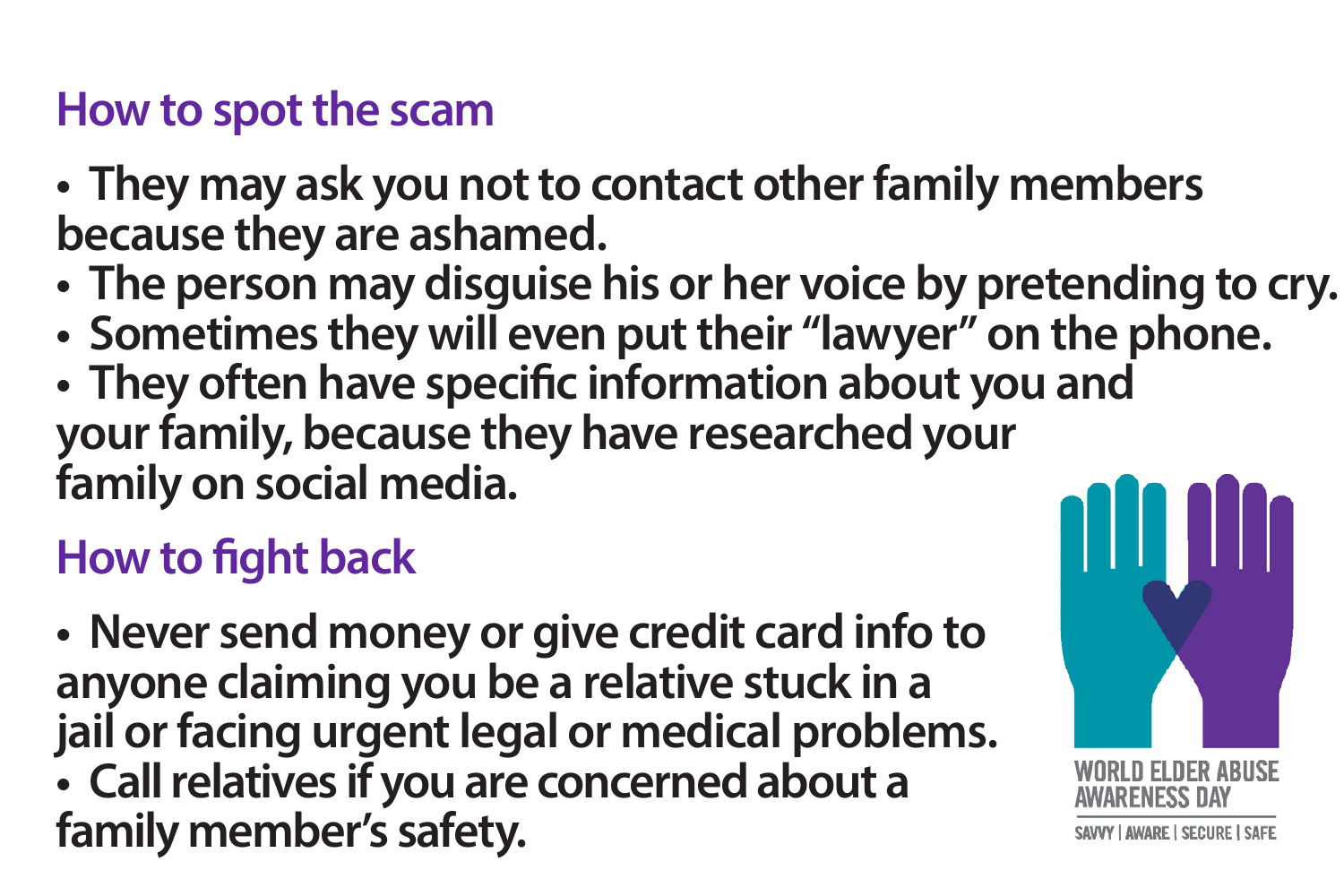- **They may ask you not to contact other family members because they are ashamed.**
- **The person may disguise his or her voice by pretending to cry.**
- **Sometimes they will even put their "lawyer" on the phone.**
- **They often have specific information about you and your family, because they have researched your family on social media.**

## **How to fight back**

**• Never send money or give credit card info to anyone claiming you be a relative stuck in a jail or facing urgent legal or medical problems. • Call relatives if you are concerned about a family member's safety.**

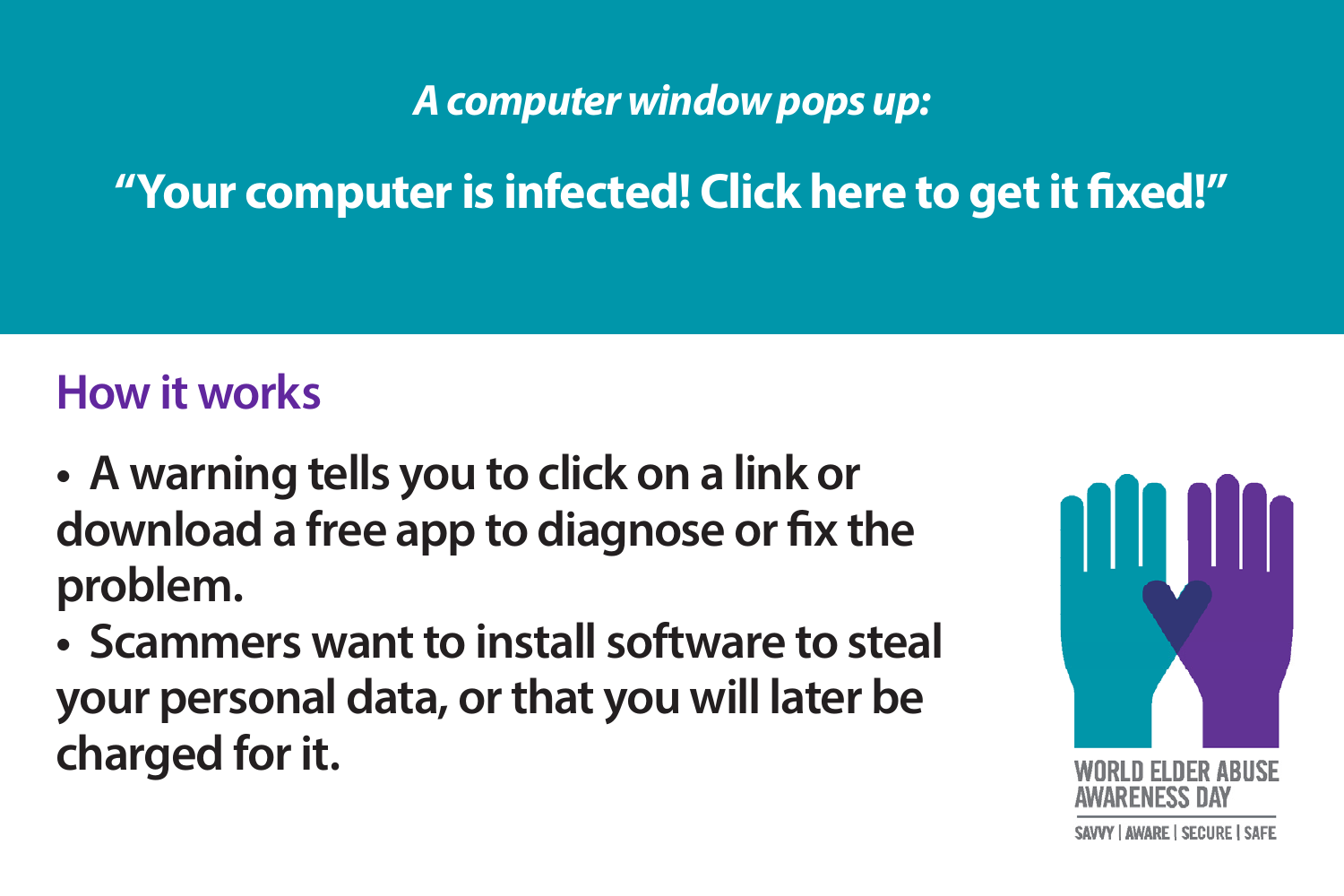#### *A computer window pops up:*

**"Your computer is infected! Click here to get it fixed!"**

- **A warning tells you to click on a link or download a free app to diagnose or fix the problem.**
- **Scammers want to install software to steal your personal data, or that you will later be charged for it.**

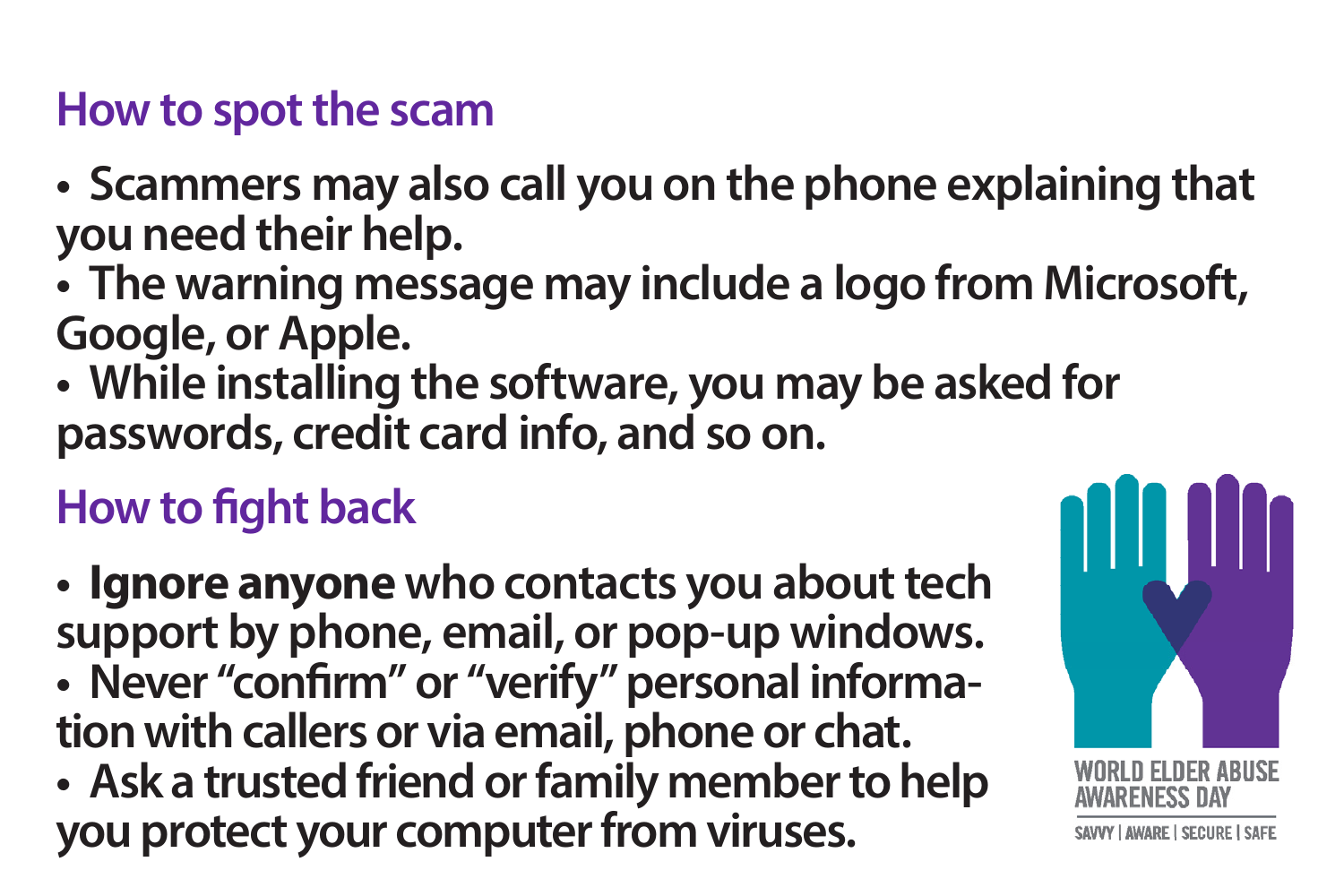- **Scammers may also call you on the phone explaining that you need their help.**
- **The warning message may include a logo from Microsoft, Google, or Apple.**
- **While installing the software, you may be asked for passwords, credit card info, and so on.**

# **How to fight back**

- **Ignore anyone who contacts you about tech support by phone, email, or pop-up windows. • Never "confirm" or "verify" personal information with callers or via email, phone or chat.**
- **Ask a trusted friend or family member to help you protect your computer from viruses.**

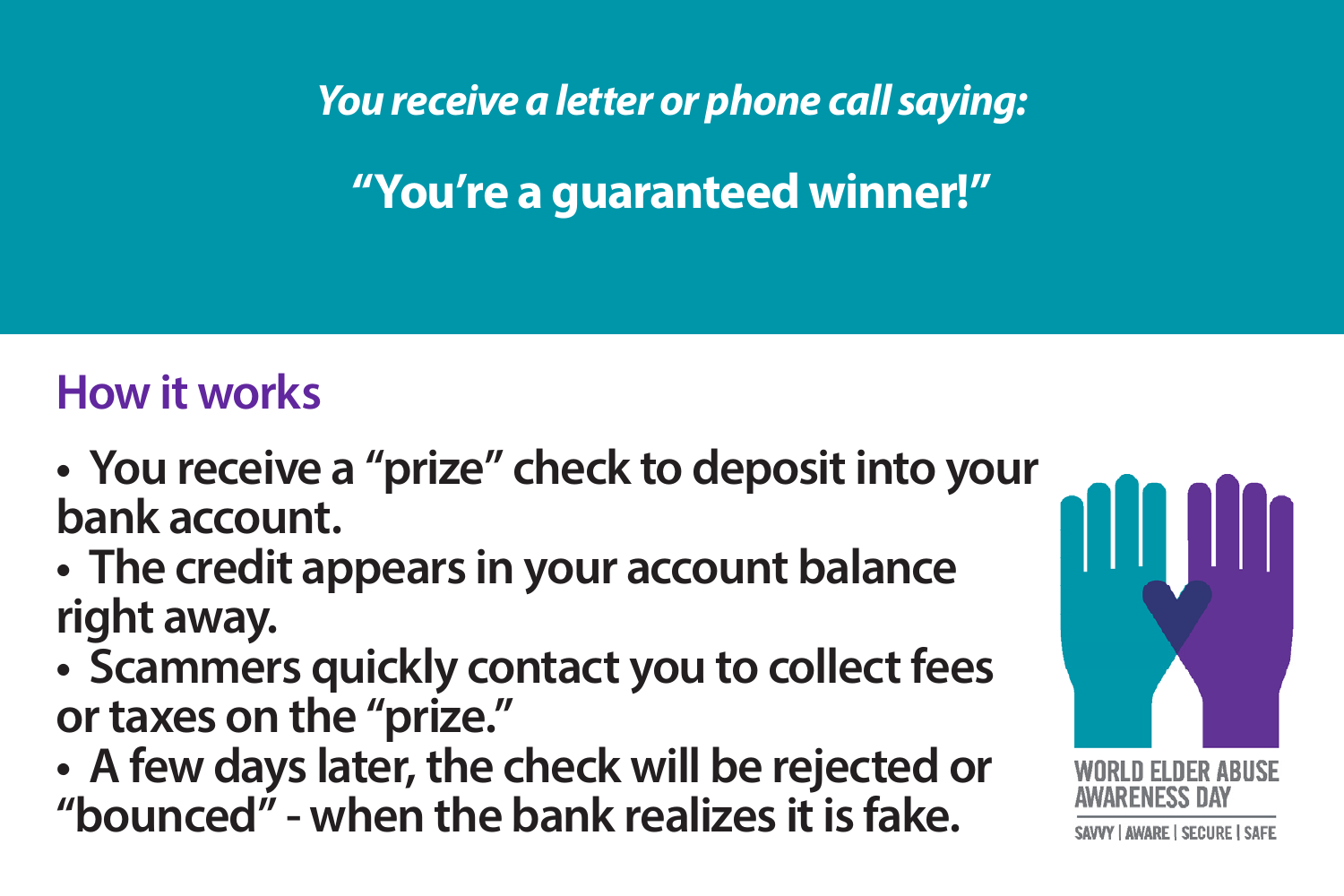*You receive a letter or phone call saying:*

**"You're a guaranteed winner!"**

- **You receive a "prize" check to deposit into your bank account.**
- **The credit appears in your account balance right away.**
- **Scammers quickly contact you to collect fees or taxes on the "prize."**
- **A few days later, the check will be rejected or "bounced" - when the bank realizes it is fake.**